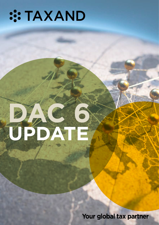# **:: TAXAND**

# **UPDATE DAC 6**

Your global tax partner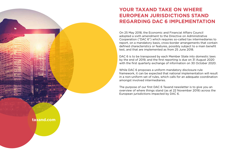On 25 May 2018, the Economic and Financial Affairs Council adopted a sixth amendment to the Directive on Administrative Cooperation ("DAC 6") which requires so-called tax intermediaries to report, on a mandatory basis, cross-border arrangements that contain defined characteristics or features, possibly subject to a main benefit test, and that are implemented as from 25 June 2018.

DAC 6 is to be transposed by each Member State into domestic laws by the end of 2019, and the first reporting is due on 31 August 2020 with the first quarterly exchange of information on 30 October 2020.

While DAC 6 proposes a uniform mandatory disclosure rule framework, it can be expected that national implementation will result in a non-uniform set of rules, which calls for an adequate coordination amongst involved intermediaries.

The purpose of our first DAC 6 Taxand newsletter is to give you an overview of where things stand (as at 22 November 2019) across the European jurisdictions impacted by DAC 6.

### **YOUR TAXAND TAKE ON WHERE EUROPEAN JURISDICTIONS STAND REGARDING DAC 6 IMPLEMENTATION**

# **taxand.com**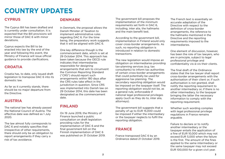### **CYPRUS**

The Cyprus Bill has been drafted and is currently under consultation. It is expected that the Bill provisions will mirror those of DAC 6 with minor deviations.

Cyprus expects the Bill to be enacted into law by the end of the year and following this event, the Ministry of Finance will issue official guidance to provide clarifications.

### **CROATIA**

Croatia has, to date, only issued draft legislation to transpose DAC 6 into its domestic law.

As far as it currently stands, there should be no major departure from the Directive.

### **AUSTRIA**

The national law has already passed the National Council of Austria. The effective date was defined as 1 July 2020.

The law almost fully corresponds to DAC 6 and notably specifies that irrespective of other requirements. there should only be an obligation to report arrangements if they carry a risk of tax avoidance.

### **DENMARK**

In Denmark, the proposal allows the Danish Minister of Taxation to implement administrative rules regarding DAC 6. For the time being, the preparatory work suggests that it will be aligned with DAC 6.

One key difference though is the commencement date, which is set at 29 October 2014. This approach has been taken because the OECD rule indicates that intermediaries responsible for designing arrangements that aim to circumvent the Common Reporting Standard ("CRS") should report such arrangements within 180 days after the CRS rules take effect in the jurisdiction in question. Since CRS was implemented into Danish law on 29 October 2014, this date has been designated as the commencement date.

### **FINLAND**

On 19 June 2019, the Ministry of Finance launched a public consultation on draft legislation providing rules for the implementation of DAC 6 and the final government bill on the Finnish implementation of DAC 6 was published on 31 October 2019.

## **COUNTRY UPDATES**

The government bill proposes the implementation of the minimum requirements set forth in DAC 6, including, inter alia, the hallmarks and the main benefit test.

According to the government bill, implementation in Finland would only cover cross-border arrangements. As such, no reporting obligation is introduced in relation to domestic transactions.

The new legislation would impose an obligation on intermediaries providing tax-planning services (e.g. tax consultants) to inform tax authorities of certain cross-border arrangements that could potentially be used for aggressive tax planning. The secondary reporting obligation would be imposed on the taxpayer itself. The reporting obligation would not be, as a general rule, enforceable if national legal professional privileges apply (such as they do to, inter alia, attorneys).

The government bill suggests that a penalty of up to EUR 15,000 could be imposed if either the intermediary or the taxpayer neglects to fulfil the reporting obligation.

### **FRANCE**

France transposed DAC 6 by an Ordinance dated 21 October 2019. The French text is essentially an accurate adaptation of the Directive with respect to the definition of cross-border arrangements, the reference to the hallmarks mentioned in the Directive and the reporting requirements imposed to the intermediaries.

One element of discussion, however, has been the role of tax lawyers, who are in principle, subject to legal professional privilege and confidentiality vis-à-vis their clients.

The final draft of the Ordinance states that the tax lawyer shall report cross-border arrangements with the authorisation of their client or, if such authorisation is not granted, shall notify the reporting requirement to another intermediary or, if there is no other intermediary, to the taxpayer bringing the latter the necessary information to comply with the reporting requirement.

Whether such wording complies with legal professional privilege regulations in France remains arguable.

Failure to declare or to notify another intermediary or the taxpayer entails the application of a fine of EUR 10,000 which may not exceed EUR 5,000 when the failure is the first. The amount of the fines applied to the same intermediary or the same taxpayer may not exceed EUR 100,000 for a given civil year.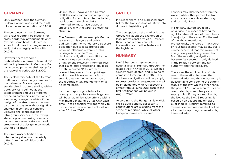### **GERMANY**

On 9 October 2019, the German Federal Cabinet approved the draft bill on the implementation of DAC 6.

The good news is that Germany will enact reporting obligations for cross-border tax arrangements only (despite some heated debates to extend to domestic arrangements as well) that are largely in line with DAC 6.

However, there are some particularities in terms of how DAC 6 will be implemented in Germany. For instance, no penalties shall apply for the reporting period 2018-2020.

The explanatory note of the German draft law includes many examples for the hallmarks. For example, a standardised structure (falling within Category A) is defined as the establishment and use of foreign financing companies, particularly in low-taxing foreign countries, if the design of the structure can be used by other taxpayers without significant changes in content or concept. Likewise, the centralisation of intra-group services in low-taxing states, e.g. a purchasing company, can also represent a standardised structure of the design in connection with this hallmark.

The draft law's definition of an intermediary does not materially differ from the definition under DAC 6.

Unlike DAC 6, however, the German draft law does not contain a reporting obligation for 'auxiliary intermediaries', but it does make clear that an intermediary must have played a specific role with regard to a given tax structure.

The German draft law exempts German tax advisors, lawyers and public auditors from the mandatory disclosure obligation due to legal professional privilege, although a waiver of this privilege is possible. Thus, the disclosure obligation can shift to the relevant taxpayer of the tax arrangement. However, intermediaries that claim legal professional privilege are still required (1) to inform the relevant taxpayers of such privilege and its possible waiver and (2) to submit data on the general scope of the reportable tax arrangement on a no-name basis.

Incorrect reporting or failure to comply with any disclosure obligation will be an administrative offense with a maximum penalty of EUR25,000 each time. These penalties will apply only to cross-border tax arrangements set up after 30 June 2020.

### **GREECE**

In Greece there is no published draft bill for the transposition of DAC 6 into domestic legislation yet.

The perception on the market is that Greece will adopt the exemption of legal professional privilege. However, there is not yet any concrete information as to other features of the legislation.

### **HUNGARY**

DAC 6 has been implemented at national level in Hungary through the related Act (XXXVII of 2013) which is already promulgated, and is going to come into force on 1 July 2020. The disclosure obligations will only apply to cross-border arrangements and will be implemented with retrospective effect from 25 June 2018 despite the first notifications will be due in August 2020.

According to the Hungarian law, VAT, excise duties and social security contributions are excluded from the scope of reporting, while all other Hungarian taxes are covered.

Lawyers may likely benefit from the waiver, while other parties like tax advisors, accountants or statutory auditors might not.

In Hungary, lawyers are highly privileged in respect of having the right to retain all data of their clients in majority of the cases. For the rest of the above mentioned professionals, the rules of "tax secret" or "business secret" may apply, but it can be expected that this would not in any case provide any exemption from the reporting obligations because "tax secret" is only defined in the relation between the tax authority and the taxpayers.

Therefore, the applicability of this rule to the relation between the intermediaries and the tax authority is questionable considering the current status of the law. On the other hand, the general "business secret" rules are overridden by compulsory data supply rules, if they are required by the law. As the DAC 6 reporting is based on an act already officially published in Hungary, referring to 'business secret' reasons shall not be a barrier to reporting tax evasion by intermediaries.

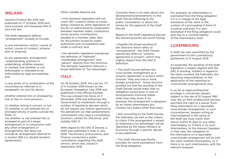### **IRELAND**

Ireland's Finance Bill 2019 was published on 17 October 2019 and, once enacted, will transpose DAC 6 into Irish law.

The draft legislation defines "arrangement" broadly to include:

a) any transaction, action, course of action, course of conduct, scheme, plan or proposal,

b) any agreement, arrangement, understanding, promise or undertaking, whether express or implied, and whether or not enforceable or intended to be enforceable by legal proceedings, and

c) any series of or combination of the circumstances referred to in paragraphs (a) and (b) above,

whether entered into or arranged by one or two or more persons—

(i) whether acting in concert or not, (ii) whether or not entered into or arranged wholly or partly outside the State, or

(iii) whether or not entered into or arranged as part of a larger arrangement or in conjunction with any other arrangement or arrangements, but does not include an arrangement referred to in section 826 (i.e. double taxation agreements).

Other notable features are:

• Irish domestic legislation will not cover VAT, customs duties or excise duties covered by other legislation of the EU on administrative cooperation between member states, compulsory social security contributions payable to a member state, fees for documents issued by public authorities and consideration due under a contract; and

• the domestic legislation transposes the definition of "hallmark", "marketable arrangement" and "person" directly from the Directive. The domestic legislation features a broad definition of "tax advantage".

### **ITALY**

On 18 October 2019, the Law No. 117 of 4 October 2019 known as the European Delegation Law 2018 was published in the Official Gazette. The Law entered into force on 2 November 2019 and authorises the Government to implement, through a number of legislative decrees which do not require any further approval by the parliament (so that parliamentary commissions only have a consultative function), certain EU Directives, and notably DAC 6.

With regard to the DAC 6 Decree, a draft was published in Italy in July 2018. The Ministry of Economics and Finance conducted a public consultation regarding this draft version, which was closed in September 2018.

Currently there is no news about any developments/amendments to the Draft Decree following to the public consultation or about the timing for the approval of the Draft Decree

Based on the Draft Legislative Decree, the following points are worth noting:

• Despite the broad wording of the Directive which refers to "arrangements", the Draft Decree specifically refers to "scheme, agreement or project", which may slightly depart from the DAC 6 definition.

• The Draft Decree defines the cross-border arrangement as a scheme, agreement or project which involves "Italy and one or more foreign jurisdiction". Some doctrine pointed out that the wording of the Draft Decree would imply that no obligation would arise in case of arrangements involving States other than Italy (even if, for example, the arrangement is designed by an Italian intermediary but involves two States other than Italy).

• Still, according to the Draft Decree, the hallmarks (as well as the criteria to check if the arrangement is aimed at obtaining a tax advantage) will be identified by the Italian Ministry of Economy through a specific decree to be published.

• The Draft Decree specifically provides for some exemptions from the filing obligation.

For example, an intermediary is exempted from the filing obligation if it is in charge of the legal assistance of the client in the context of a proceeding in front of a judicial authority. It is also exempted if the filing obligation could give rise to a criminal liability of the intermediary itself.

### **LUXEMBOURG**

A draft law was submitted by the government to the Luxembourg parliament on 8 August 2019.

As expected, the wording of the draft legislation is largely aligned with the DAC 6 wording, notably in regard to the taxes covered, the hallmarks, the reporting responsibilities, or the application of the reporting to cross-border arrangements only.

In so far as legal professional privilege is concerned, lawyers subject to the law of 10 August 1991 may rely on their professional secrecy and have the right to a waiver from filing information on a reportable cross-border arrangement. In such circumstances, lawyers acting as intermediariesf in the sense of the draft law must notify their waiver within 10 days to any other intermediary or, if there is no such intermediary, to the relevant taxpayer. In that case, the obligation to file information on a reportable cross-border arrangement will lie with the other notified intermediary, or, if there is no such intermediary, with the relevant taxpayer.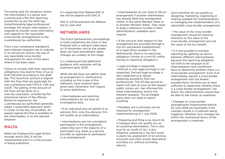This being said, for situations where the intermediary is a lawyer and Luxembourg is the first reporting jurisdiction as per the draft law, notwithstanding legal professional privilege, the lawyer intermediary is required to transfer some information with regards to the reportable cross-border arrangements to the Luxembourg tax authorities.

From a tax compliance standpoint, each relevant taxpayer has to indicate in its annual tax returns, the use of any reportable cross-border arrangement for each of the years where it has been used.

Failure to comply with their reporting obligations may lead to fines of up to EUR 250,000 according to the draft law. This maximum amount is aligned with the fines that are applicable for non-compliance with FATCA, CRS and CbCR. The setting of the amount of the fines will be done on a case-by-case basis, considering the intentional nature of the offense. Based on experience, the Luxembourg tax authorities generally adopt a reasonable approach when it comes to the levy of penalties. An appeal against the fine is available to the intermediary or to the relevant taxpayer.

### **MALTA**

Malta has finalised the Legal Notice through which DAC 6 will be implemented and it is in the process of being published.

It is expected that Maltese DAC 6 law will be aligned with DAC 6.

DAC 6 will be enacted into Maltese law by year end.

### **NETHERLANDS**

The Dutch parliamentary proceedings in lower parliament are more or less finalised with a voting to take place on 14 November, and as the senate does not have amendment rights, changes are unlikely at this stage.

It is understood that additional guidance with examples will be published early 2020.

While the Bill does not define what an arrangement is, clarifications, including on the scope of the hallmarks, have however been given early November with regard to some definitions:

- Intermediaries and assisting intermediaries do not have an investigative duty.
- If an individual acts on behalf of an advisory firm, only the advisory firm will qualify as an intermediary.
- Intermediaries are not considered participants in the arrangement, unless they act in the capacity of a participant (e.g. bank as a service provider as opposed to participant in an arrangement).

• Intermediaries do not need to file an arrangement if another intermediary has already filed that arrangement (either in the same Member State or in another Member State). They need to keep a reference number in their administration, available upon request.

• If the services with respect to the arrangement are provided through a non-EU permanent establishment of a head office resident in the Netherlands, there is no reporting obligation (similar to a non-EU entity having no reporting obligation).

- Legal privilege is respected, informal or non-legal privilege is not respected. Derived legal privilege is also respected (e.g. lawyer obtaining assistance from tax professional). The 30-day period to report will start as soon as the lawyer/ public notary, etc. has informed the other intermediaries and/or the relevant taxpayer. The privileged party does not need to report anything.
- Penalties will in principle not be imposed for arrangement implemented up to 1 July 2020.
- Preparing and filing a tax return for a taxpayer does not qualify you as an assisting intermediary. This is also true for an 'audit of tax', a due diligence, preparing a 'tax fact book', a yearly tax assessment of an existing structure and other purely descriptive activities (i.e. without providing advice).

Such activities do not qualify as designing, marketing, organising or making available for implementation or managing the implementation of a reportable cross-border arrangement.

• The value of the cross-border arrangement should be listed by reference to the value of the cross-border arrangement and not the value of the tax benefit.

• It is not possible to prevent reporting by splitting up advice between different intermediaries, because the reporting obligation will shift to the taxpayer if all intermediaries have insufficient facts to determine whether there is a cross-border arrangement. Even if an intermediary reports a cross-border arrangement with the fewest possible facts, the facts are at least sufficient to determine whether there is a cross-border arrangement. The Dutch Tax Administration would then be able to ask follow up questions.

### • Changes to cross-border

arrangements implemented before 25 June 2018 are reportable if the changes results in a hallmark being triggered. Whether such changes are within the contractual terms of the arrangement is irrelevant.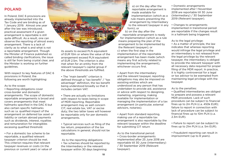### **POLAND**

In Poland, DAC 6 provisions are already implemented into the Tax Code and are binding as of 1 January 2019. Almost one year after the law was introduced, practical assessment if a given arrangement is reportable is still quite difficult. As a result, one can observe the reporting of almost every arrangement. There is a lack of clarity as to what is and what is not a reportable arrangement. Though the Minister of Finance published so called binding clarifications, the issue is still far from being crystal clear, and the Minister is working on further guidelines.

With respect to key features of DAC 6 provisions in Poland, the following are worth highlighting:

As to the scope:

• Reporting obligations cover cross-border and domestic arrangements. The scope of domestic reportable arrangements is broad and covers arrangements that meet hallmarks specified in the DAC 6 but also certain specific hallmarks such as i.a. qualified impact of the arrangement on deferred tax asset or liability or certain abroad payments such as dividends, interest, royalties and remuneration for intangibles excessing qualified threshold.

• For a domestic tax scheme to be reportable, a qualified relevant taxpayer criterion should be met. This criterion requires that relevant taxpayer revenues or costs (in the previous or current year) or value of its assets to exceed PLN equivalent of EUR 10m or where the value of the arrangement exceed PLN equivalent of EUR 2.5m. The criterion is also met when for an entity from the relevant taxpayer's capital group if the above thresholds are fulfilled.

> taxpayer).  $10$

• The "main benefit" criterion is defined through a "tax benefit" / "tax advantage" definition, the tax benefit being understood broadly so that it includes certain VAT.

• There are actually no limitations with respect to taxes being in scope of MDR reporting. Reportable arrangement may as well concern CIT, real estate tax, VAT or excise duty; the two latter taxes will however be reportable only for per domestic arrangements.

• Typical services such as filing of the tax return, preparation of the tax calculations in general, should not be reportable.

 As to the reporting obligations: • Tax schemes should be reported by the Intermediary or the relevant taxpayer within 30 days beginning:

• Apart from the intermediary and the relevant taxpayer, reporting obligations may also be imposed on assisting entities which are understood as any person that has undertaken to provide aid, assistance or advice with respect to designing, marketing, organising, making available for implementation or managing the implementation of a tax arrangement (in particular, external advisors, notaries).

• Apart from standard reporting, making use of a reportable tax arrangement is also reportable by the relevant taxpayer within the deadline for submitting CIT return

As to the transitional period: • Cross-border arrangements implemented after 25 June 2018 are reportable till 30 June (Intermediary)

/ 30 September 2019 (Relevant

• Domestic arrangements implemented after 1 November 2018 are reportable till 30 June (Intermediary) / 30 September 2019 (Relevant taxpayer).

• Changes to arrangements implemented in transitional period are reportable if the changes result in a hallmark being triggered.

As to the legal privilege:

c) when the first step in the implementation of the reportable arrangement has been made (which means any first activity related to implementing the arrangement), whichever occurs first. b) on the day after the reportable arrangement is ready for implementation (which as a rule means preparing the plan of the arrangement to be implemented by the Relevant taxpayer); or

• As a matter of principle, the law indicates that whereas reporting would infringe the legal privilege and an intermediary is not released from the legal privilege by the relevant taxpayer, the intermediary is obliged to provide the relevant taxpayer with all necessary data required for proper filing of the MDR report. In practice, it is highly controversial for a legal or tax advisor to be exempted from maintaining legal privilege with the taxpayer.

As to the penalties:

• Qualified intermediaries are obliged to prepare and possess a relevant MDR procedure. Lack of such procedure can be subject to financial fines up to 2m PLN (c.a. 450k EUR); failure to report in connection with lack of procedure can be subject to financial fines up to 10m PLN (c.a. 2.3m EUR).

• Failure to report can be subject to fines up to 21m PLN (c.a. 5m EUR).

• Fraudulent reporting can result in imprisonment (up to 8 years).

a) on the day after the reportable arrangement is made available for implementation (which as a rule means presenting the arrangement by Intermediary to the relevant taxpayer in any form); or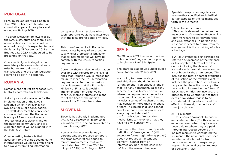### **PORTUGAL**

Portugal issued draft legislation in June 2019 subsequent to which a consultation period took place and ended on 28 July 2019.

The draft legislation follows closely the DAC 6 structure and there is still no indication as to when it will be enacted though it is expected to be at the latest by 15 December 2019 as the Budget Law 2020 is scheduled to be presented on that day.

One specificity in Portugal is that mandatory disclosure rules already exist but relate to domestic transactions and the draft legislation seems to be both in existence.

### **ROMANIA**

Romania has not yet transposed DAC 6 into its domestic tax legislation.

This therefore results in Romania introducing, by way of an exception to any legal professional privilege, that all intermediaries will have to comply with the DAC 6 reporting requirements.

A draft proposal is available for the implementation of the DAC 6 Directive which, however, is not available for public consultation. The draft document has only been circulated between the Romanian Ministry of Finance and several professional associations and of the business community, and it is expected that it will be aligned with the DAC 6 structure.

One departing feature is that according to the draft document, no intermediaries would be given a right to a waiver from filing information

on reportable transactions where such reporting would have interfered with the legal professional privilege.

Currently, there is also no information available with regards to the level of fines that Romania would impose for failure to meet the DAC 6 reporting requirements. Per the discussions so far, it seems that the Romanian Ministry of Finance is awaiting implementation of Directive by other EU member states and plans to set the fines at the median value of the EU member states.

### **SLOVENIA**

Slovenia has already implemented DAC 6 ad verbatum in its national legislation, with it being applicable as from 1 January 2020.

However, the intermediaries (or persons who are required to report the arrangements) are bound to report arrangements (that were concluded from 25 June 2018 to 1 July of 2020) by 31 August 2020.



### **SPAIN**

On 20 June 2019, the tax authorities published draft legislation proposing to implement DAC 6 in Spain.

The draft legislation was under public consultation until 12 July 2019.

According to these publicly available drafts, the definition of "arrangement" is an objective one in that it is "any agreement, legal deal, scheme or cross-border transaction where the requirements needed for its communication concur". It also includes a series of mechanisms and may consist of more than one phase or part. This being said, one cannot conclude that a mechanism exists for every payment derived from the formalisation of reportable mechanisms to the extent that they have no own substantivity.

This means that the current Spanish definition of "arrangement" (still subject to formal legislative approval) does not require an "intentional element", neither from an intermediary nor (as the case may be) from the relevant taxpayer.

Spanish transposition regulations have further specified and clarified certain aspects of the hallmarks set forth in the Directive.

### 1) Main benefit criterion:

i. This test is deemed met when the main or one of the main effects which - having regard to all relevant facts and circumstances – a person may reasonably expect to derive from the arrangement is the obtaining of a tax advantage.

ii. A Tax Advantage is understood to refer to any decrease of the tax base or tax payable in terms of the tax debt - including the deferral of accrual - which would have arisen had it not been for the arrangement. This includes the total or partial avoidance of realisation of the taxable event. It includes the generation of tax bases, tax payable, deductions or any other tax credit to be used in the future. If associated entities are involved, the question as to whether or not there exists a Tax Advantage is to be considered taking into account the effect on them all, irrespective of their jurisdiction.

### 2) Hallmarks

i. Cross-border payments between associated entities (C1): this includes expenses, even when they have not been paid or where they are paid through interposed persons. An indirect recipient is considered the recipient if the payments have been imputed or attributed for tax purposes under tax transparency regimes, income allocation regimes or equivalent rules.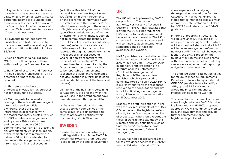ii. Payments to companies which are not subject to taxation or are taxed at a rate of zero or almost zero (C1.b.iv): corporate income tax is understood to mean any tax identical or similar to the Spanish tax. An effective rate of less than 1% is considered to be a rate of zero or almost zero.

iii. Payments to non-cooperative jurisdictions (C1.b.ii): this refers to the countries, territories and regimes listed in Additional Provision 1 of Law 36/2006.

iv. Use of preferential tax regimes (C1.d): this will not apply to those authorised by the European Union.

v. Transfers of assets with differences in value between jurisdictions (C4): a difference of more than 25% is required.

vi. This refers exclusively to differences in value for tax purposes, not for accounting purposes.

vii. With regards to hallmarks relating to the automatic exchange of information and beneficial ownership: these are to be interpreted in accordance with the Model mandatory disclosure rules for CRS avoidance arrangements and opaque offshore structures and the corresponding OECD commentary. Hallmark D1 is present in any arrangement, which includes any of the characteristics referred to in hallmark D1, which is intended to circumvent the obligation to report information on financial accounts

(Additional Provision 22 of the General Taxation Law, Royal Decree 1021/2015, or in other agreements on the exchange of information with EU states or with third countries), or which takes advantage of the absence of legislation or of agreements of this type. Characteristic e) (use of entities or instruments which make it possible not to communicate the identity of the holders of accounts or controlling persons) refers to the avoidance of disclosure of information to be reported through automatic exchange in respect of financial accounts. Chains of non-transparent formal or beneficial ownership (D2): the three characteristics required by the Directive must be present for these to be reportable arrangements (absence of a substantive economic activity, location in a third jurisdiction and nonidentification of the beneficial owners).

viii. None of the hallmarks pertaining to Category E are present when the values used in the arrangement have been determined through an APA.

ix. Transfer of functions, risks and assets between companies of the same group: this is understood to refer to associated entities within the meaning of this Directive.

### **SWEDEN**

Sweden has not yet published any draft legislation in so far as DAC 6 is concerned. However, draft legislation is expected by the end of November.

### **UK**

The UK will be implementing DAC 6 despite Brexit. The UK tax authority, Her Majesty's Revenue & Customs ("HMRC") has reiterated that leaving the EU will not reduce the UK's resolve to tackle international tax avoidance and evasion. The UK is committed to tax transparency and will continue to apply international standards aimed at tackling avoidance and evasion.

HMRC published a consultation on the implementation of DAC 6 on 22 July 2019 which ran until 11 October 2019. In addition, draft legislation (The International Tax Enforcement (Disclosable Arrangements) Regulations 2019) has also been published which is proposed to come into force on 1 July 2020. HMRC is currently analysing the responses received to the consultation and aim to publish final legislation together with guidance on its implementation by 31 December 2019.

Broadly, the draft legislation is in line with the key requirements of the DAC 6 Directive and the legislation refers directly to the Directive on a number of aspects e.g. who should report, the types of transactions caught by the Directive and key definitions such as "intermediary", "reportable crossborder arrangement", "relevant taxpayer", etc.

The UK has had a disclosure regime for tax avoidance schemes ("DOTAS") since 2004 which should provide

some experience in analysing the respective hallmarks. In fact, for Category "A" hallmarks, HMRC has stated that it intends to take a similar approach to interpretation as it does for DOTAS and refers to the DOTAS guidance.

In terms of reporting structure, this will be similar to DOTAS and HMRC anticipate a reporting template which will be submitted electronically. HMRC will issue an arrangement reference number ("ARN") which will be used to identify the DAC 6 report on the taxpayer tax returns and also shared with other intermediaries so that they can evidence whether their reporting obligations have been met.

The draft legislation sets out penalties for failure to meet its requirements. Penalties for failure to report start at GBP 600 per day, failure to notify an ARN, up to GBP 5,000 and also allows the First Tier Tribunal to impose penalties up to GBP 1m.

The consultation document provides some insight into how DAC 6 is to be implemented and HMRC's proposed approach. We will continue to monitor relevant developments and provide further commentary once final legislation is published.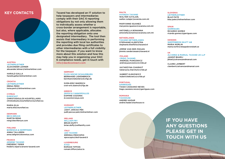**AUSTRIA** LEITNERLEITNER ALEXANDER LEHNER alexander.lehner@leitnerleitner.com

HARALD GALLA harald.galla@leitnerleitner.com

### **CROATIA**

LEITNERLEITNER IRENA PERIC irena.peric@leitnerleitner.com

### **CYPRUS**

EUROFAST CHRISTODOULOS KOURTELLARIS christodoulos.kourtellaris@eurofast.eu

MARIA ELIA maria.elia@eurofast.eu

**DENMARK** BECH-BRUUN MARTIN RENG reng@bechbruun.com

**FINLAND** BORENIUS & KEMPPINEN ANNA TALLGREN anna.tallgren@borenius.com

**FRANCE** ARSENE TAXAND FRÉDÉRIC TEPER frederic.teper@arsene-taxand.com

### **GERMANY** FLICK GOCKE SCHAUMBURG BERNHARD LIEKENBROCK bernhard.liekenbrock@fgs.de

SVEN-ERIC BAERSCH sven-eric.baersch@fgs.de

### **GREECE**

ZEPOS & YANNOPOULOS DAPHNE COZONIS d.cozonis@zeya.com

### **HUNGARY**

LEITNERLEITNER JUDIT JANCSA-PÉK judit.jancsa-pek@leitnerleitner.com **TAXHOUSE** ANDREI HADAR andrei.hadar@taxhouse.ro



### **IRELAND**

WILLIAM FRY BRIAN DUFFY brian.duffy@williamfry.com

### **ITALY**

LED TAXAND ERMINIA PROCOPIO eprocopio@led-taxand.it

### **LUXEMBOURG**

ATOZ ROMAIN TIFFON romain.tiffon@atoz.lu

### **MALTA** AVANZIA TAXAND

WALTER CUTAJAR, walter.cutajar@avanzia.com.mt

MARYANNE IGUANEZ maryanne.iguanez@avanzia.com.mt

ANTONELLA BONANNA antonella.bonanna@avanzia.com.mt

### **NETHERLANDS**

TAXAND NETHERLANDS STEPHANIE KLEEFSTRA stephanie.kleefstra@taxand.nl

JIMMIE VAN DER ZWAAN jimmie.vanderzwaan@taxand.nl

### **POLAND**

CRIDO TAXAND ANDRZEJ PUNCEWICZ andrzej.puncewicz@crido.pl

**KEY CONTACTS** Taxand has developed an IT solution to help taxpayers and intermediaries comply with their DAC 6 reporting obligations by not only allowing them to individually assess whether a cross-border arrangement is reportable, but also, where applicable, allocates the reporting obligation onto one designated intermediary. The tool then assists that intermediary in performing the reporting with local tax authorities and provides due filing certificates to other intermediaries with a full visibility for the taxpayer. If you want to know more about this solution and how this may help you in organizing your DAC 6 compliance needs, get in touch with info@dac6connect.com

> KATARZYNA CHARHUT katarzyna.charchut@crido.pl

HUBERT KLEKOWICZ hubert.klekowicz@crido.pl

### **PORTUGAL**

GARRIGUES TIAGO CASSIANO NEVES tiago.cassiano.neves@garrigues.com

### **ROMANIA**

### **SLOVENIA** LEITNERLEITNER BLAZ PATE

blaz.pate@leitnerleitner.com

**SPAIN GARRIGUES** RICARDO GOMEZ ricardo.gomez@garrigues.com

### **SWEDEN** SKEPPSBRON SKATT AB

MARIA NORLIN maria.norlin@skeppsbronskatt.se

**UK** ALVAREZ & MARSAL TAXAND UK LLP JAGDIP BHARIJ jbharij@alvarezandmarsal.com

CLAIRE LAMBERT clambert@alvarezandmarsal.com

**IF YOU HAVE ANY QUESTIONS PLEASE GET IN TOUCH WITH US**